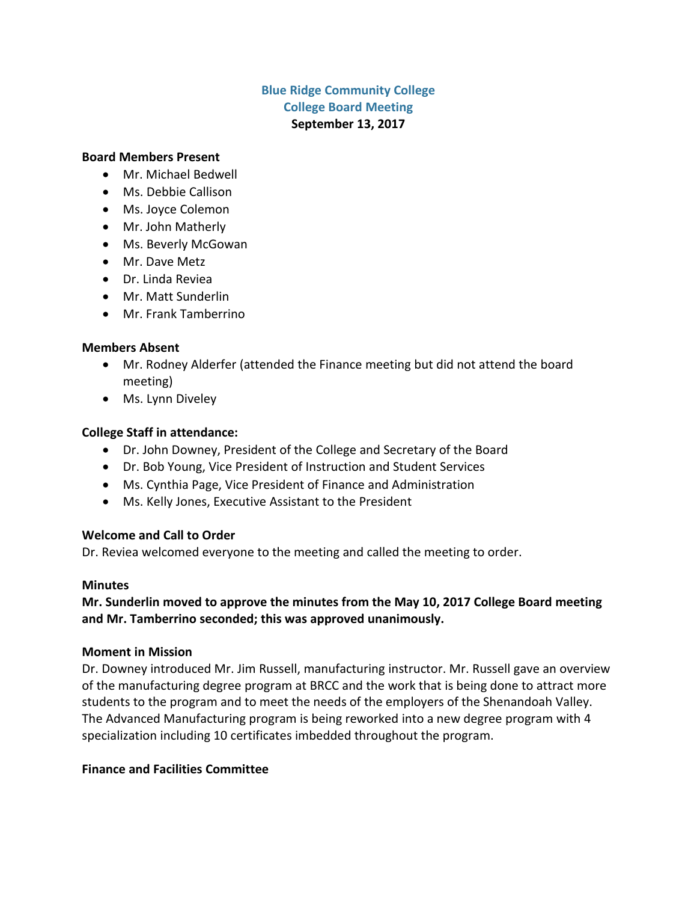# **Blue Ridge Community College College Board Meeting September 13, 2017**

#### **Board Members Present**

- Mr. Michael Bedwell
- Ms. Debbie Callison
- Ms. Joyce Colemon
- Mr. John Matherly
- Ms. Beverly McGowan
- Mr. Dave Metz
- Dr. Linda Reviea
- Mr. Matt Sunderlin
- Mr. Frank Tamberrino

### **Members Absent**

- Mr. Rodney Alderfer (attended the Finance meeting but did not attend the board meeting)
- Ms. Lynn Diveley

### **College Staff in attendance:**

- Dr. John Downey, President of the College and Secretary of the Board
- Dr. Bob Young, Vice President of Instruction and Student Services
- Ms. Cynthia Page, Vice President of Finance and Administration
- Ms. Kelly Jones, Executive Assistant to the President

### **Welcome and Call to Order**

Dr. Reviea welcomed everyone to the meeting and called the meeting to order.

#### **Minutes**

# **Mr. Sunderlin moved to approve the minutes from the May 10, 2017 College Board meeting and Mr. Tamberrino seconded; this was approved unanimously.**

### **Moment in Mission**

Dr. Downey introduced Mr. Jim Russell, manufacturing instructor. Mr. Russell gave an overview of the manufacturing degree program at BRCC and the work that is being done to attract more students to the program and to meet the needs of the employers of the Shenandoah Valley. The Advanced Manufacturing program is being reworked into a new degree program with 4 specialization including 10 certificates imbedded throughout the program.

### **Finance and Facilities Committee**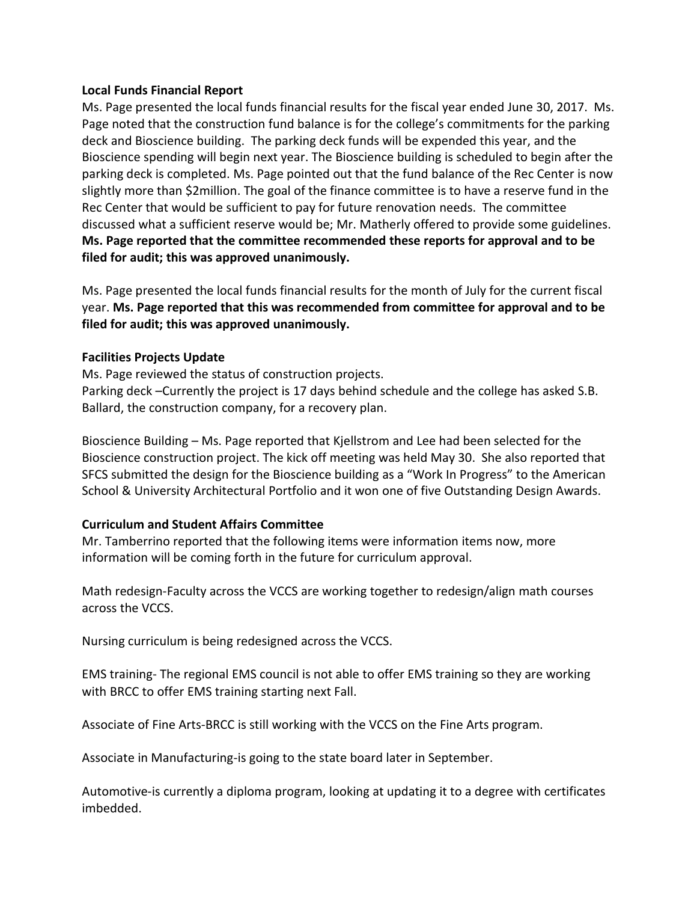#### **Local Funds Financial Report**

Ms. Page presented the local funds financial results for the fiscal year ended June 30, 2017. Ms. Page noted that the construction fund balance is for the college's commitments for the parking deck and Bioscience building. The parking deck funds will be expended this year, and the Bioscience spending will begin next year. The Bioscience building is scheduled to begin after the parking deck is completed. Ms. Page pointed out that the fund balance of the Rec Center is now slightly more than \$2million. The goal of the finance committee is to have a reserve fund in the Rec Center that would be sufficient to pay for future renovation needs. The committee discussed what a sufficient reserve would be; Mr. Matherly offered to provide some guidelines. **Ms. Page reported that the committee recommended these reports for approval and to be filed for audit; this was approved unanimously.**

Ms. Page presented the local funds financial results for the month of July for the current fiscal year. **Ms. Page reported that this was recommended from committee for approval and to be filed for audit; this was approved unanimously.**

### **Facilities Projects Update**

Ms. Page reviewed the status of construction projects. Parking deck –Currently the project is 17 days behind schedule and the college has asked S.B. Ballard, the construction company, for a recovery plan.

Bioscience Building – Ms. Page reported that Kjellstrom and Lee had been selected for the Bioscience construction project. The kick off meeting was held May 30. She also reported that SFCS submitted the design for the Bioscience building as a "Work In Progress" to the American School & University Architectural Portfolio and it won one of five Outstanding Design Awards.

### **Curriculum and Student Affairs Committee**

Mr. Tamberrino reported that the following items were information items now, more information will be coming forth in the future for curriculum approval.

Math redesign-Faculty across the VCCS are working together to redesign/align math courses across the VCCS.

Nursing curriculum is being redesigned across the VCCS.

EMS training- The regional EMS council is not able to offer EMS training so they are working with BRCC to offer EMS training starting next Fall.

Associate of Fine Arts-BRCC is still working with the VCCS on the Fine Arts program.

Associate in Manufacturing-is going to the state board later in September.

Automotive-is currently a diploma program, looking at updating it to a degree with certificates imbedded.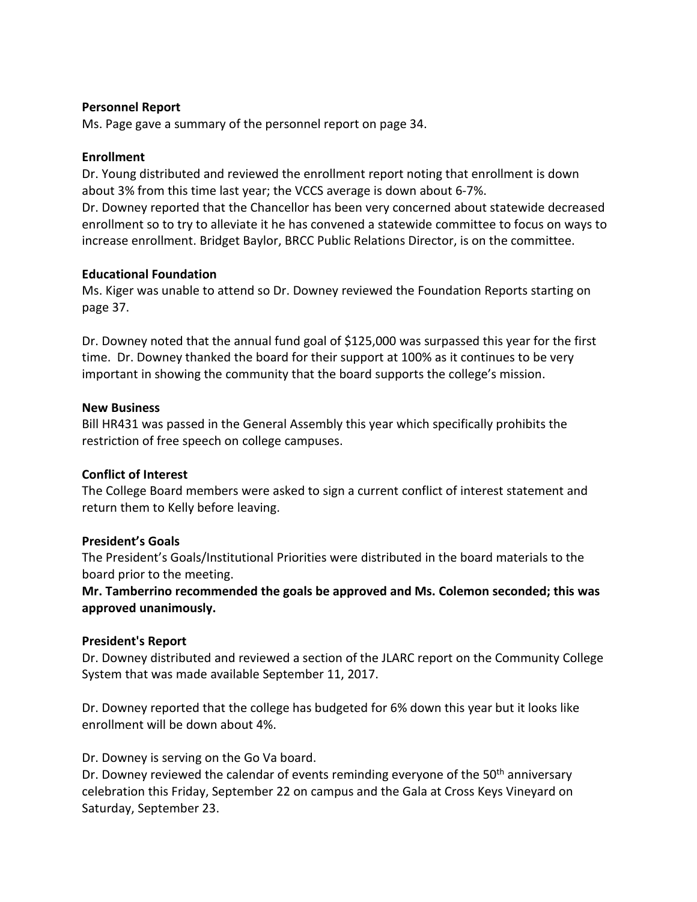#### **Personnel Report**

Ms. Page gave a summary of the personnel report on page 34.

### **Enrollment**

Dr. Young distributed and reviewed the enrollment report noting that enrollment is down about 3% from this time last year; the VCCS average is down about 6-7%.

Dr. Downey reported that the Chancellor has been very concerned about statewide decreased enrollment so to try to alleviate it he has convened a statewide committee to focus on ways to increase enrollment. Bridget Baylor, BRCC Public Relations Director, is on the committee.

### **Educational Foundation**

Ms. Kiger was unable to attend so Dr. Downey reviewed the Foundation Reports starting on page 37.

Dr. Downey noted that the annual fund goal of \$125,000 was surpassed this year for the first time. Dr. Downey thanked the board for their support at 100% as it continues to be very important in showing the community that the board supports the college's mission.

### **New Business**

Bill HR431 was passed in the General Assembly this year which specifically prohibits the restriction of free speech on college campuses.

### **Conflict of Interest**

The College Board members were asked to sign a current conflict of interest statement and return them to Kelly before leaving.

# **President's Goals**

The President's Goals/Institutional Priorities were distributed in the board materials to the board prior to the meeting.

**Mr. Tamberrino recommended the goals be approved and Ms. Colemon seconded; this was approved unanimously.**

# **President's Report**

Dr. Downey distributed and reviewed a section of the JLARC report on the Community College System that was made available September 11, 2017.

Dr. Downey reported that the college has budgeted for 6% down this year but it looks like enrollment will be down about 4%.

# Dr. Downey is serving on the Go Va board.

Dr. Downey reviewed the calendar of events reminding everyone of the 50<sup>th</sup> anniversary celebration this Friday, September 22 on campus and the Gala at Cross Keys Vineyard on Saturday, September 23.